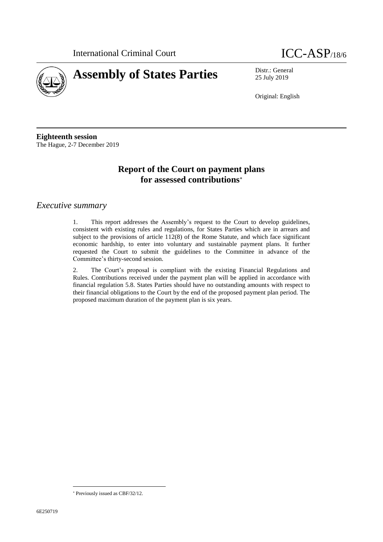



25 July 2019

Original: English

**Eighteenth session** The Hague, 2-7 December 2019

# **Report of the Court on payment plans for assessed contributions**

### *Executive summary*

1. This report addresses the Assembly's request to the Court to develop guidelines, consistent with existing rules and regulations, for States Parties which are in arrears and subject to the provisions of article 112(8) of the Rome Statute, and which face significant economic hardship, to enter into voluntary and sustainable payment plans. It further requested the Court to submit the guidelines to the Committee in advance of the Committee's thirty-second session.

2. The Court's proposal is compliant with the existing Financial Regulations and Rules. Contributions received under the payment plan will be applied in accordance with financial regulation 5.8. States Parties should have no outstanding amounts with respect to their financial obligations to the Court by the end of the proposed payment plan period. The proposed maximum duration of the payment plan is six years.

 $\overline{a}$ 

Previously issued as CBF/32/12.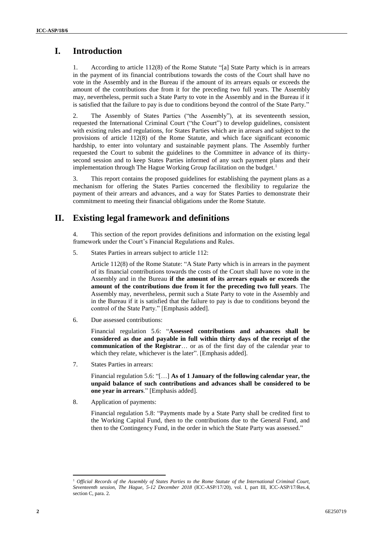# **I. Introduction**

1. According to article 112(8) of the Rome Statute "[a] State Party which is in arrears in the payment of its financial contributions towards the costs of the Court shall have no vote in the Assembly and in the Bureau if the amount of its arrears equals or exceeds the amount of the contributions due from it for the preceding two full years. The Assembly may, nevertheless, permit such a State Party to vote in the Assembly and in the Bureau if it is satisfied that the failure to pay is due to conditions beyond the control of the State Party."

2. The Assembly of States Parties ("the Assembly"), at its seventeenth session, requested the International Criminal Court ("the Court") to develop guidelines, consistent with existing rules and regulations, for States Parties which are in arrears and subject to the provisions of article 112(8) of the Rome Statute, and which face significant economic hardship, to enter into voluntary and sustainable payment plans. The Assembly further requested the Court to submit the guidelines to the Committee in advance of its thirtysecond session and to keep States Parties informed of any such payment plans and their implementation through The Hague Working Group facilitation on the budget.<sup>1</sup>

3. This report contains the proposed guidelines for establishing the payment plans as a mechanism for offering the States Parties concerned the flexibility to regularize the payment of their arrears and advances, and a way for States Parties to demonstrate their commitment to meeting their financial obligations under the Rome Statute.

# **II. Existing legal framework and definitions**

4. This section of the report provides definitions and information on the existing legal framework under the Court's Financial Regulations and Rules.

5. States Parties in arrears subject to article 112:

Article 112(8) of the Rome Statute: "A State Party which is in arrears in the payment of its financial contributions towards the costs of the Court shall have no vote in the Assembly and in the Bureau **if the amount of its arrears equals or exceeds the amount of the contributions due from it for the preceding two full years**. The Assembly may, nevertheless, permit such a State Party to vote in the Assembly and in the Bureau if it is satisfied that the failure to pay is due to conditions beyond the control of the State Party." [Emphasis added].

6. Due assessed contributions:

Financial regulation 5.6: "**Assessed contributions and advances shall be considered as due and payable in full within thirty days of the receipt of the communication of the Registrar**… or as of the first day of the calendar year to which they relate, whichever is the later". [Emphasis added].

7. States Parties in arrears:

Financial regulation 5.6: "[…] **As of 1 January of the following calendar year, the unpaid balance of such contributions and advances shall be considered to be one year in arrears**." [Emphasis added].

8. Application of payments:

Financial regulation 5.8: "Payments made by a State Party shall be credited first to the Working Capital Fund, then to the contributions due to the General Fund, and then to the Contingency Fund, in the order in which the State Party was assessed."

 $\overline{a}$ <sup>1</sup> *Official Records of the Assembly of States Parties to the Rome Statute of the International Criminal Court, Seventeenth session, The Hague, 5-12 December 2018* (ICC-ASP/17/20), vol. I, part III, ICC-ASP/17/Res.4, section C, para. 2.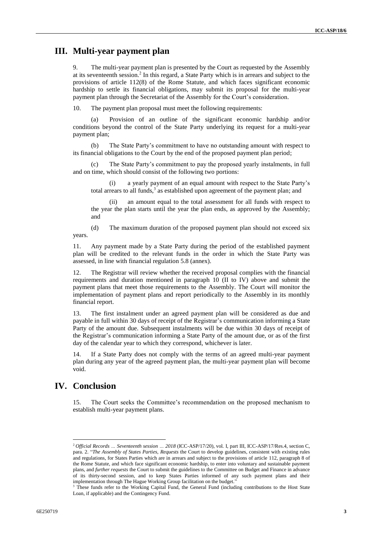## **III. Multi-year payment plan**

9. The multi-year payment plan is presented by the Court as requested by the Assembly at its seventeenth session.<sup>2</sup> In this regard, a State Party which is in arrears and subject to the provisions of article 112(8) of the Rome Statute, and which faces significant economic hardship to settle its financial obligations, may submit its proposal for the multi-year payment plan through the Secretariat of the Assembly for the Court's consideration.

10. The payment plan proposal must meet the following requirements:

(a) Provision of an outline of the significant economic hardship and/or conditions beyond the control of the State Party underlying its request for a multi-year payment plan;

(b) The State Party's commitment to have no outstanding amount with respect to its financial obligations to the Court by the end of the proposed payment plan period;

The State Party's commitment to pay the proposed yearly instalments, in full and on time, which should consist of the following two portions:

(i) a yearly payment of an equal amount with respect to the State Party's total arrears to all funds,<sup>3</sup> as established upon agreement of the payment plan; and

(ii) an amount equal to the total assessment for all funds with respect to the year the plan starts until the year the plan ends, as approved by the Assembly; and

(d) The maximum duration of the proposed payment plan should not exceed six years.

11. Any payment made by a State Party during the period of the established payment plan will be credited to the relevant funds in the order in which the State Party was assessed, in line with financial regulation 5.8 (annex).

12. The Registrar will review whether the received proposal complies with the financial requirements and duration mentioned in paragraph 10 (II to IV) above and submit the payment plans that meet those requirements to the Assembly. The Court will monitor the implementation of payment plans and report periodically to the Assembly in its monthly financial report.

13. The first instalment under an agreed payment plan will be considered as due and payable in full within 30 days of receipt of the Registrar's communication informing a State Party of the amount due. Subsequent instalments will be due within 30 days of receipt of the Registrar's communication informing a State Party of the amount due, or as of the first day of the calendar year to which they correspond, whichever is later.

14. If a State Party does not comply with the terms of an agreed multi-year payment plan during any year of the agreed payment plan, the multi-year payment plan will become void.

## **IV. Conclusion**

 $\overline{a}$ 

15. The Court seeks the Committee's recommendation on the proposed mechanism to establish multi-year payment plans.

<sup>2</sup> *Official Records … Seventeenth session … 2018* (ICC-ASP/17/20), vol. I, part III, ICC-ASP/17/Res.4, section C, para. 2. "*The Assembly of States Parties, Requests* the Court to develop guidelines, consistent with existing rules and regulations, for States Parties which are in arrears and subject to the provisions of article 112, paragraph 8 of the Rome Statute, and which face significant economic hardship, to enter into voluntary and sustainable payment plans, and *further requests* the Court to submit the guidelines to the Committee on Budget and Finance in advance of its thirty-second session, and to keep States Parties informed of any such payment plans and their implementation through The Hague Working Group facilitation on the budget."

<sup>&</sup>lt;sup>3</sup> These funds refer to the Working Capital Fund, the General Fund (including contributions to the Host State Loan, if applicable) and the Contingency Fund.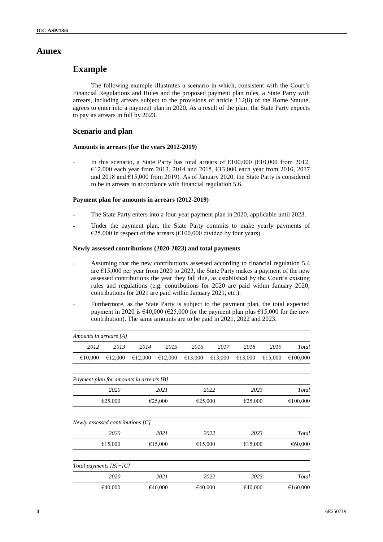### **Annex**

## **Example**

The following example illustrates a scenario in which, consistent with the Court's Financial Regulations and Rules and the proposed payment plan rules, a State Party with arrears, including arrears subject to the provisions of article 112(8) of the Rome Statute, agrees to enter into a payment plan in 2020. As a result of the plan, the State Party expects to pay its arrears in full by 2023.

### **Scenario and plan**

### **Amounts in arrears (for the years 2012-2019)**

In this scenario, a State Party has total arrears of  $\epsilon$ 100,000 ( $\epsilon$ 10,000 from 2012, €12,000 each year from 2013, 2014 and 2015, €13,000 each year from 2016, 2017 and 2018 and  $E15,000$  from 2019). As of January 2020, the State Party is considered to be in arrears in accordance with financial regulation 5.6.

#### **Payment plan for amounts in arrears (2012-2019)**

- The State Party enters into a four-year payment plan in 2020, applicable until 2023.
- Under the payment plan, the State Party commits to make yearly payments of €25,000 in respect of the arrears (€100,000 divided by four years).

#### **Newly assessed contributions (2020-2023) and total payments**

- Assuming that the new contributions assessed according to financial regulation 5.4 are  $£15,000$  per year from 2020 to 2023, the State Party makes a payment of the new assessed contributions the year they fall due, as established by the Court's existing rules and regulations (e.g. contributions for 2020 are paid within January 2020, contributions for 2021 are paid within January 2021, etc.).
- Furthermore, as the State Party is subject to the payment plan, the total expected payment in 2020 is €40,000 (€25,000 for the payment plan plus €15,000 for the new contribution). The same amounts are to be paid in 2021, 2022 and 2023.

| Amounts in arrears [A]                  |                    |         |         |         |         |         |          |          |
|-----------------------------------------|--------------------|---------|---------|---------|---------|---------|----------|----------|
| 2012                                    | 2013               | 2014    | 2015    | 2016    | 2017    | 2018    | 2019     | Total    |
| €10,000                                 | €12,000            | €12,000 | €12,000 | €13,000 | €13,000 | €13,000 | €15,000  | €100,000 |
| Payment plan for amounts in arrears [B] |                    |         |         |         |         |         |          |          |
|                                         | 2020               | 2021    |         |         | 2022    | 2023    |          | Total    |
|                                         | €25,000            |         | €25,000 |         | €25,000 | €25,000 | €100,000 |          |
| Newly assessed contributions [C]        |                    |         |         |         |         |         |          |          |
|                                         | 2020               |         | 2021    |         | 2022    | 2023    | Total    |          |
|                                         | €15,000            |         | €15,000 |         | €15,000 |         | €15,000  |          |
| Total payments $[B]+[C]$                |                    |         |         |         |         |         |          |          |
|                                         | 2020               |         | 2021    | 2022    |         | 2023    |          | Total    |
|                                         | €40,000<br>€40,000 |         |         | €40,000 |         | €40,000 | €160,000 |          |